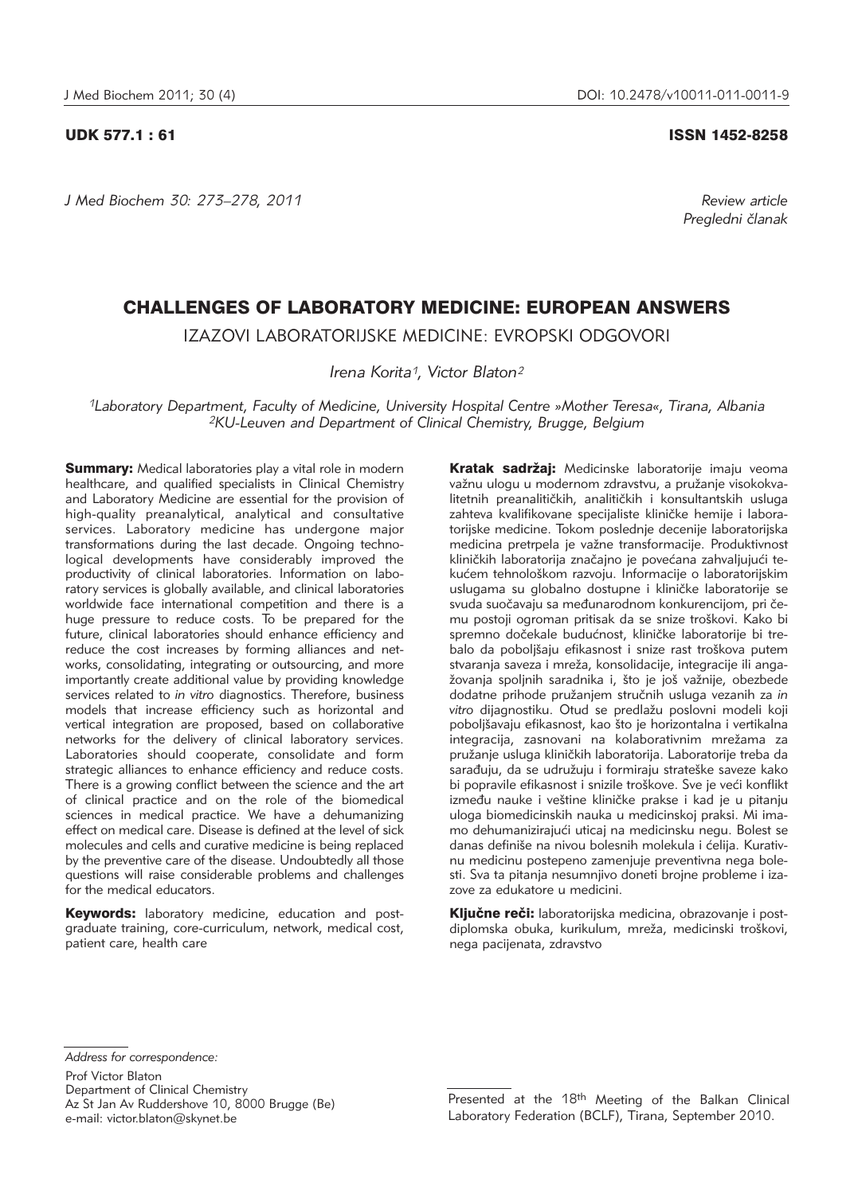*J Med Biochem 30: 273–278, 2011 Review article*

### UDK 577.1 : 61 ISSN 1452-8258

*Pregledni ~lanak*

# CHALLENGES OF LABORATORY MEDICINE: EUROPEAN ANSWERS

IZAZOVI LABORATORIJSKE MEDICINE: EVROPSKI ODGOVORI

*Irena Korita1, Victor Blaton2*

*1Laboratory Department, Faculty of Medicine, University Hospital Centre »Mother Teresa«, Tirana, Albania 2KU-Leuven and Department of Clinical Chemistry, Brugge, Belgium*

**Summary:** Medical laboratories play a vital role in modern healthcare, and qualified specialists in Clinical Chemistry and Laboratory Medicine are essential for the provision of high-quality preanalytical, analytical and consultative services. Laboratory medicine has undergone major transformations during the last decade. Ongoing technological developments have considerably improved the productivity of clinical laboratories. Information on laboratory services is globally available, and clinical laboratories worldwide face international competition and there is a huge pressure to reduce costs. To be prepared for the future, clinical laboratories should enhance efficiency and reduce the cost increases by forming alliances and networks, consolidating, integrating or outsourcing, and more importantly create additional value by providing knowledge services related to *in vitro* diagnostics. Therefore, business models that increase efficiency such as horizontal and vertical integration are proposed, based on collaborative networks for the delivery of clinical laboratory services. Laboratories should cooperate, consolidate and form strategic alliances to enhance efficiency and reduce costs. There is a growing conflict between the science and the art of clinical practice and on the role of the biomedical sciences in medical practice. We have a dehumanizing effect on medical care. Disease is defined at the level of sick molecules and cells and curative medicine is being replaced by the preventive care of the disease. Undoubtedly all those questions will raise considerable problems and challenges for the medical educators.

Keywords: laboratory medicine, education and postgraduate training, core-curriculum, network, medical cost, patient care, health care

Kratak sadržaj: Medicinske laboratorije imaju veoma važnu ulogu u modernom zdravstvu, a pružanje visokokvalitetnih preanalitičkih, analitičkih i konsultantskih usluga zahteva kvalifikovane specijaliste kliničke hemije i laboratorijske medicine. Tokom poslednje decenije laboratorijska medicina pretrpela je važne transformacije. Produktivnost kliničkih laboratorija značajno je povećana zahvaljujući tekućem tehnološkom razvoju. Informacije o laboratorijskim uslugama su globalno dostupne i kliničke laboratorije se svuda suočavaju sa međunarodnom konkurencijom, pri čemu postoji ogroman pritisak da se snize troškovi. Kako bi spremno dočekale budućnost, kliničke laboratorije bi trebalo da poboljšaju efikasnost i snize rast troškova putem stvaranja saveza i mreža, konsolidacije, integracije ili angažovanja spoljnih saradnika i, što je još važnije, obezbede dodatne prihode pružanjem stručnih usluga vezanih za *in* vitro dijagnostiku. Otud se predlažu poslovni modeli koji poboljšavaju efikasnost, kao što je horizontalna i vertikalna integracija, zasnovani na kolaborativnim mrežama za pružanje usluga kliničkih laboratorija. Laboratorije treba da sarađuju, da se udružuju i formiraju strateške saveze kako bi popravile efikasnost i snizile troškove. Sve je veći konflikt između nauke i veštine kliničke prakse i kad je u pitanju uloga biomedicinskih nauka u medicinskoj praksi. Mi imamo dehumanizirajući uticaj na medicinsku negu. Bolest se danas definiše na nivou bolesnih molekula i ćelija. Kurativnu medicinu postepeno zamenjuje preventivna nega bolesti. Sva ta pitanja nesumnjivo doneti brojne probleme i izazove za edukatore u medicini.

Ključne reči: laboratorijska medicina, obrazovanje i postdiplomska obuka, kurikulum, mreža, medicinski troškovi, nega pacijenata, zdravstvo

*Address for correspondence:* Prof Victor Blaton Department of Clinical Chemistry Az St Jan Av Ruddershove 10, 8000 Brugge (Be) e-mail: victor.blaton@skynet.be

Presented at the 18<sup>th</sup> Meeting of the Balkan Clinical Laboratory Federation (BCLF), Tirana, September 2010.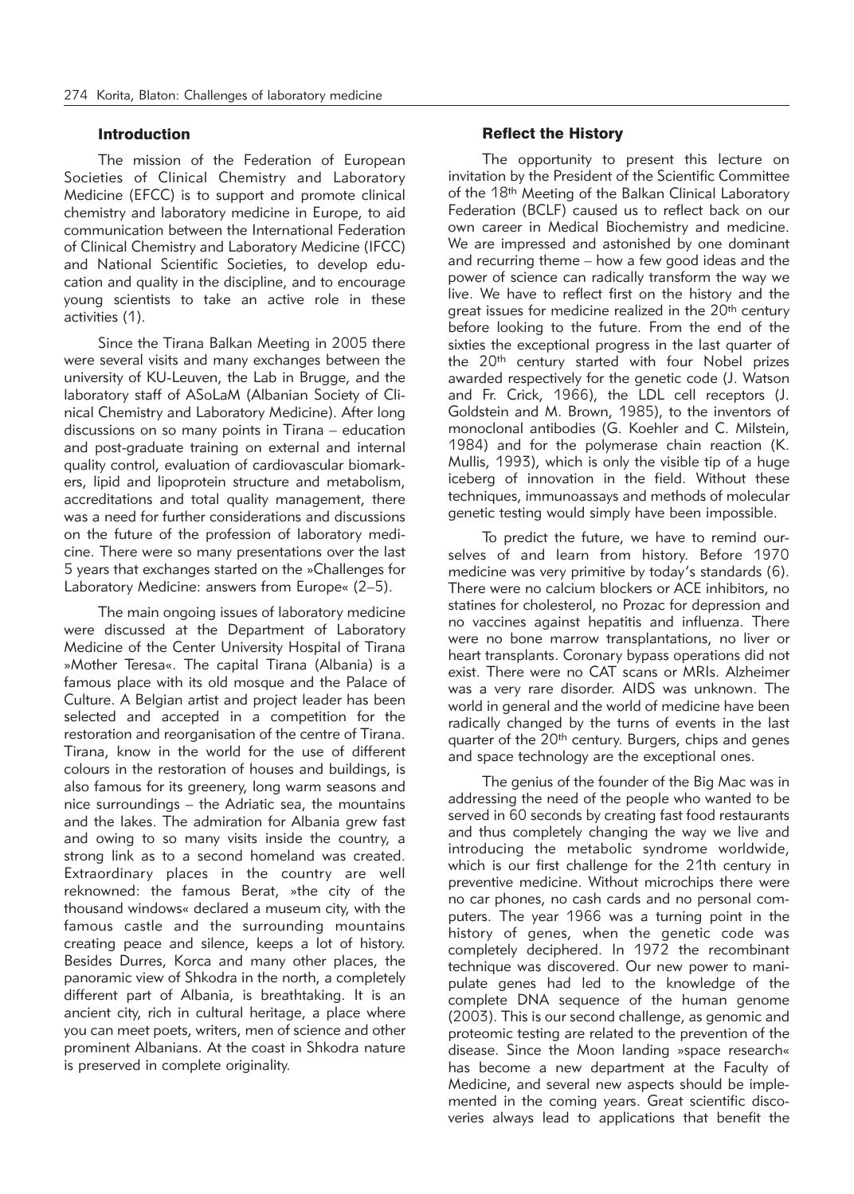# Introduction

The mission of the Federation of European Societies of Clinical Chemistry and Laboratory Medicine (EFCC) is to support and promote clinical chemistry and laboratory medicine in Europe, to aid communication between the International Federation of Clinical Chemistry and Laboratory Medicine (IFCC) and National Scientific Societies, to develop education and quality in the discipline, and to encourage young scientists to take an active role in these activities (1).

Since the Tirana Balkan Meeting in 2005 there were several visits and many exchanges between the university of KU-Leuven, the Lab in Brugge, and the laboratory staff of ASoLaM (Albanian Society of Clinical Chemistry and Laboratory Medicine). After long discussions on so many points in Tirana – education and post-graduate training on external and internal quality control, evaluation of cardiovascular biomarkers, lipid and lipoprotein structure and metabolism, accreditations and total quality management, there was a need for further considerations and discussions on the future of the profession of laboratory medicine. There were so many presentations over the last 5 years that exchanges started on the »Challenges for Laboratory Medicine: answers from Europe« (2–5).

The main ongoing issues of laboratory medicine were discussed at the Department of Laboratory Medicine of the Center University Hospital of Tirana »Mother Teresa«. The capital Tirana (Albania) is a famous place with its old mosque and the Palace of Culture. A Belgian artist and project leader has been selected and accepted in a competition for the restoration and reorganisation of the centre of Tirana. Tirana, know in the world for the use of different colours in the restoration of houses and buildings, is also famous for its greenery, long warm seasons and nice surroundings – the Adriatic sea, the mountains and the lakes. The admiration for Albania grew fast and owing to so many visits inside the country, a strong link as to a second homeland was created. Extraordinary places in the country are well reknowned: the famous Berat, »the city of the thousand windows« declared a museum city, with the famous castle and the surrounding mountains creating peace and silence, keeps a lot of history. Besides Durres, Korca and many other places, the panoramic view of Shkodra in the north, a completely different part of Albania, is breathtaking. It is an ancient city, rich in cultural heritage, a place where you can meet poets, writers, men of science and other prominent Albanians. At the coast in Shkodra nature is preserved in complete originality.

#### Reflect the History

The opportunity to present this lecture on invitation by the President of the Scientific Committee of the 18th Meeting of the Balkan Clinical Laboratory Federation (BCLF) caused us to reflect back on our own career in Medical Biochemistry and medicine. We are impressed and astonished by one dominant and recurring theme – how a few good ideas and the power of science can radically transform the way we live. We have to reflect first on the history and the great issues for medicine realized in the 20<sup>th</sup> century before looking to the future. From the end of the sixties the exceptional progress in the last quarter of the 20th century started with four Nobel prizes awarded respectively for the genetic code (J. Watson and Fr. Crick, 1966), the LDL cell receptors (J. Goldstein and M. Brown, 1985), to the inventors of monoclonal antibodies (G. Koehler and C. Milstein, 1984) and for the polymerase chain reaction (K. Mullis, 1993), which is only the visible tip of a huge iceberg of innovation in the field. Without these techniques, immunoassays and methods of molecular genetic testing would simply have been impossible.

To predict the future, we have to remind ourselves of and learn from history. Before 1970 medicine was very primitive by today's standards (6). There were no calcium blockers or ACE inhibitors, no statines for cholesterol, no Prozac for depression and no vaccines against hepatitis and influenza. There were no bone marrow transplantations, no liver or heart transplants. Coronary bypass operations did not exist. There were no CAT scans or MRIs. Alzheimer was a very rare disorder. AIDS was unknown. The world in general and the world of medicine have been radically changed by the turns of events in the last quarter of the 20th century. Burgers, chips and genes and space technology are the exceptional ones.

The genius of the founder of the Big Mac was in addressing the need of the people who wanted to be served in 60 seconds by creating fast food restaurants and thus completely changing the way we live and introducing the metabolic syndrome worldwide, which is our first challenge for the 21th century in preventive medicine. Without microchips there were no car phones, no cash cards and no personal computers. The year 1966 was a turning point in the history of genes, when the genetic code was completely deciphered. In 1972 the recombinant technique was discovered. Our new power to manipulate genes had led to the knowledge of the complete DNA sequence of the human genome (2003). This is our second challenge, as genomic and proteomic testing are related to the prevention of the disease. Since the Moon landing »space research« has become a new department at the Faculty of Medicine, and several new aspects should be implemented in the coming years. Great scientific discoveries always lead to applications that benefit the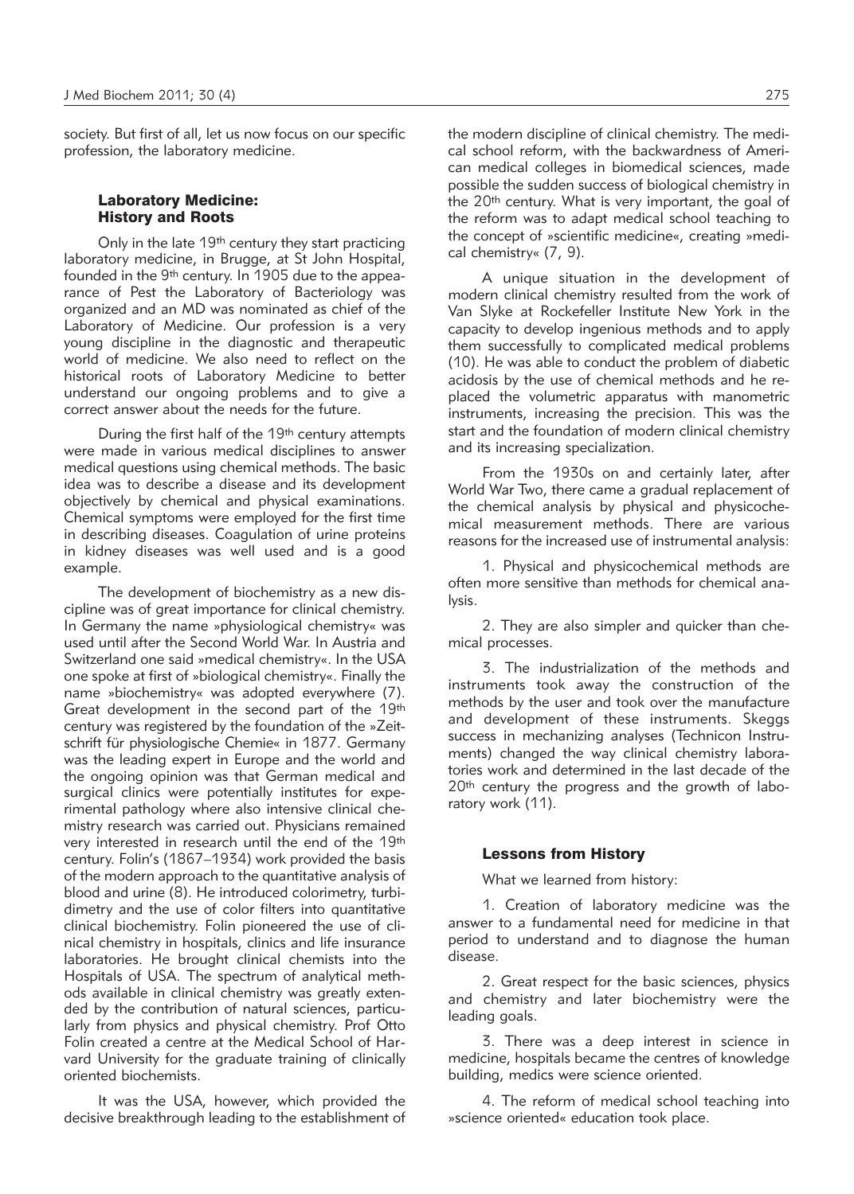society. But first of all, let us now focus on our specific profession, the laboratory medicine.

## Laboratory Medicine: History and Roots

Only in the late  $19<sup>th</sup>$  century they start practicing laboratory medicine, in Brugge, at St John Hospital, founded in the 9<sup>th</sup> century. In 1905 due to the appearance of Pest the Laboratory of Bacteriology was organized and an MD was nominated as chief of the Laboratory of Medicine. Our profession is a very young discipline in the diagnostic and therapeutic world of medicine. We also need to reflect on the historical roots of Laboratory Medicine to better understand our ongoing problems and to give a correct answer about the needs for the future.

During the first half of the 19th century attempts were made in various medical disciplines to answer medical questions using chemical methods. The basic idea was to describe a disease and its development objectively by chemical and physical examinations. Chemical symptoms were employed for the first time in describing diseases. Coagulation of urine proteins in kidney diseases was well used and is a good example.

The development of biochemistry as a new discipline was of great importance for clinical chemistry. In Germany the name »physiological chemistry« was used until after the Second World War. In Austria and Switzerland one said »medical chemistry«. In the USA one spoke at first of »biological chemistry«. Finally the name »biochemistry« was adopted everywhere (7). Great development in the second part of the 19th century was registered by the foundation of the »Zeit schrift für physiologische Chemie« in 1877. Germany was the leading expert in Europe and the world and the ongoing opinion was that German medical and surgical clinics were potentially institutes for experimental pathology where also intensive clinical chemistry research was carried out. Physicians remained very interested in research until the end of the 19th century. Folin's (1867–1934) work provided the basis of the modern approach to the quantitative analysis of blood and urine (8). He introduced colorimetry, turbidimetry and the use of color filters into quantitative clinical biochemistry. Folin pioneered the use of clinical chemistry in hospitals, clinics and life insurance laboratories. He brought clinical chemists into the Hospitals of USA. The spectrum of analytical methods available in clinical chemistry was greatly extended by the contribution of natural sciences, particularly from physics and physical chemistry. Prof Otto Folin created a centre at the Medical School of Harvard University for the graduate training of clinically oriented biochemists.

It was the USA, however, which provided the decisive breakthrough leading to the establishment of the modern discipline of clinical chemistry. The medical school reform, with the backwardness of American medical colleges in biomedical sciences, made possible the sudden success of biological chemistry in the 20th century. What is very important, the goal of the reform was to adapt medical school teaching to the concept of »scientific medicine«, creating »medi cal chemistry« (7, 9).

A unique situation in the development of modern clinical chemistry resulted from the work of Van Slyke at Rockefeller Institute New York in the capacity to develop ingenious methods and to apply them successfully to complicated medical problems (10). He was able to conduct the problem of diabetic acidosis by the use of chemical methods and he replaced the volumetric apparatus with manometric instruments, increasing the precision. This was the start and the foundation of modern clinical chemistry and its increasing specialization.

From the 1930s on and certainly later, after World War Two, there came a gradual replacement of the chemical analysis by physical and physicochemical measurement methods. There are various reasons for the increased use of instrumental analysis:

1. Physical and physicochemical methods are often more sensitive than methods for chemical analysis.

2. They are also simpler and quicker than chemical processes.

3. The industrialization of the methods and instruments took away the construction of the methods by the user and took over the manufacture and development of these instruments. Skeggs success in mechanizing analyses (Technicon Instruments) changed the way clinical chemistry laboratories work and determined in the last decade of the 20<sup>th</sup> century the progress and the growth of laboratory work (11).

#### Lessons from History

What we learned from history:

1. Creation of laboratory medicine was the answer to a fundamental need for medicine in that period to understand and to diagnose the human disease.

2. Great respect for the basic sciences, physics and chemistry and later biochemistry were the leading goals.

3. There was a deep interest in science in medicine, hospitals became the centres of knowledge building, medics were science oriented.

4. The reform of medical school teaching into »science oriented« education took place.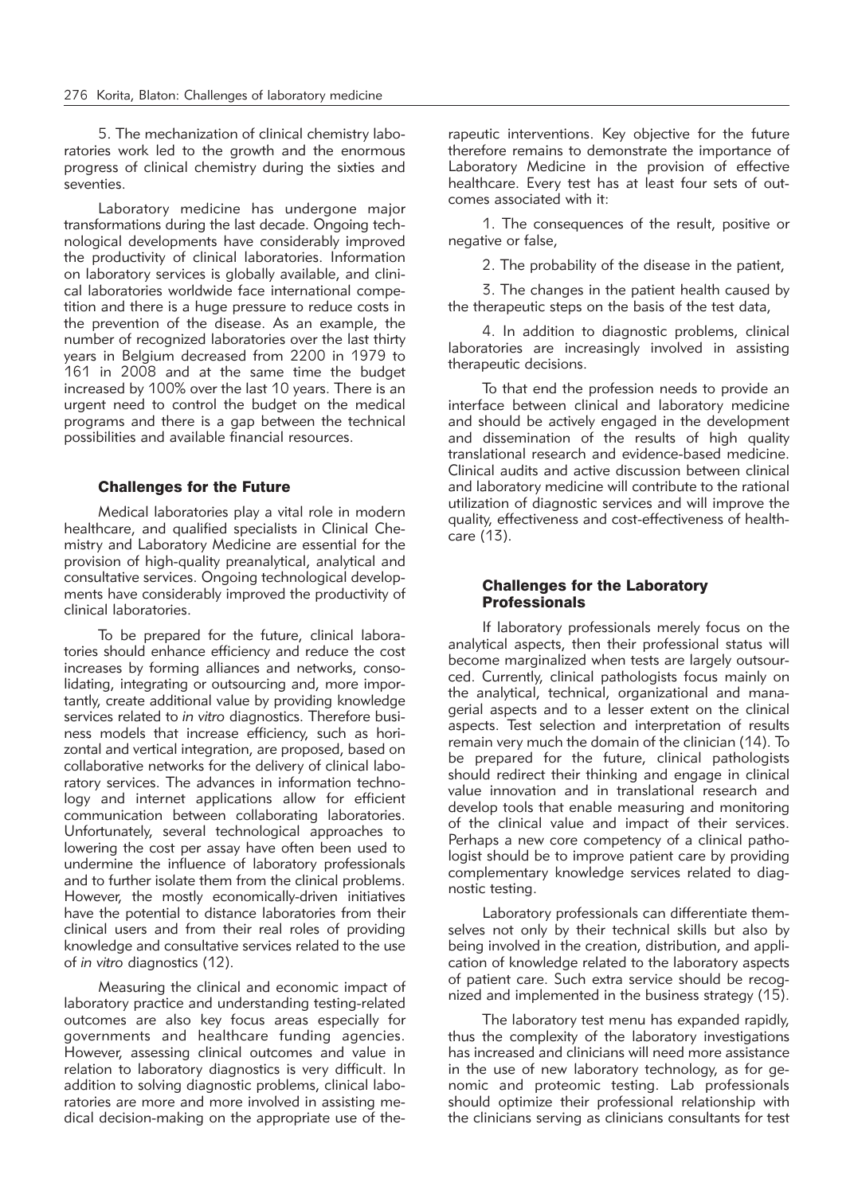5. The mechanization of clinical chemistry laboratories work led to the growth and the enormous progress of clinical chemistry during the sixties and seventies.

Laboratory medicine has undergone major transformations during the last decade. Ongoing technological developments have considerably improved the productivity of clinical laboratories. Information on laboratory services is globally available, and clinical laboratories worldwide face international competition and there is a huge pressure to reduce costs in the prevention of the disease. As an example, the number of recognized laboratories over the last thirty years in Belgium decreased from 2200 in 1979 to 161 in 2008 and at the same time the budget increased by 100% over the last 10 years. There is an urgent need to control the budget on the medical programs and there is a gap between the technical possibilities and available financial resources.

#### Challenges for the Future

Medical laboratories play a vital role in modern healthcare, and qualified specialists in Clinical Chemistry and Laboratory Medicine are essential for the provision of high-quality preanalytical, analytical and consultative services. Ongoing technological developments have considerably improved the productivity of clinical laboratories.

To be prepared for the future, clinical laboratories should enhance efficiency and reduce the cost increases by forming alliances and networks, consolidating, integrating or outsourcing and, more importantly, create additional value by providing knowledge services related to *in vitro* diagnostics. Therefore business models that increase efficiency, such as horizontal and vertical integration, are proposed, based on collaborative networks for the delivery of clinical laboratory services. The advances in information technology and internet applications allow for efficient communication between collaborating laboratories. Unfortunately, several technological approaches to lowering the cost per assay have often been used to undermine the influence of laboratory professionals and to further isolate them from the clinical problems. However, the mostly economically-driven initiatives have the potential to distance laboratories from their clinical users and from their real roles of providing knowledge and consultative services related to the use of *in vitro* diagnostics (12).

Measuring the clinical and economic impact of laboratory practice and understanding testing-related outcomes are also key focus areas especially for governments and healthcare funding agencies. However, assessing clinical outcomes and value in relation to laboratory diagnostics is very difficult. In addition to solving diagnostic problems, clinical laboratories are more and more involved in assisting me dical decision-making on the appropriate use of therapeutic interventions. Key objective for the future therefore remains to demonstrate the importance of Laboratory Medicine in the provision of effective healthcare. Every test has at least four sets of outcomes associated with it:

1. The consequences of the result, positive or negative or false,

2. The probability of the disease in the patient,

3. The changes in the patient health caused by the therapeutic steps on the basis of the test data,

4. In addition to diagnostic problems, clinical laboratories are increasingly involved in assisting therapeutic decisions.

To that end the profession needs to provide an interface between clinical and laboratory medicine and should be actively engaged in the development and dissemination of the results of high quality translational research and evidence-based medicine. Clinical audits and active discussion between clinical and laboratory medicine will contribute to the rational utilization of diagnostic services and will improve the quality, effectiveness and cost-effectiveness of healthcare (13).

# Challenges for the Laboratory **Professionals**

If laboratory professionals merely focus on the analytical aspects, then their professional status will become marginalized when tests are largely outsourced. Currently, clinical pathologists focus mainly on the analytical, technical, organizational and managerial aspects and to a lesser extent on the clinical aspects. Test selection and interpretation of results remain very much the domain of the clinician (14). To be prepared for the future, clinical pathologists should redirect their thinking and engage in clinical value innovation and in translational research and develop tools that enable measuring and monitoring of the clinical value and impact of their services. Perhaps a new core competency of a clinical pathologist should be to improve patient care by providing complementary knowledge services related to diagnostic testing.

Laboratory professionals can differentiate themselves not only by their technical skills but also by being involved in the creation, distribution, and application of knowledge related to the laboratory aspects of patient care. Such extra service should be recognized and implemented in the business strategy (15).

The laboratory test menu has expanded rapidly, thus the complexity of the laboratory investigations has increased and clinicians will need more assistance in the use of new laboratory technology, as for genomic and proteomic testing. Lab professionals should optimize their professional relationship with the clinicians serving as clinicians consultants for test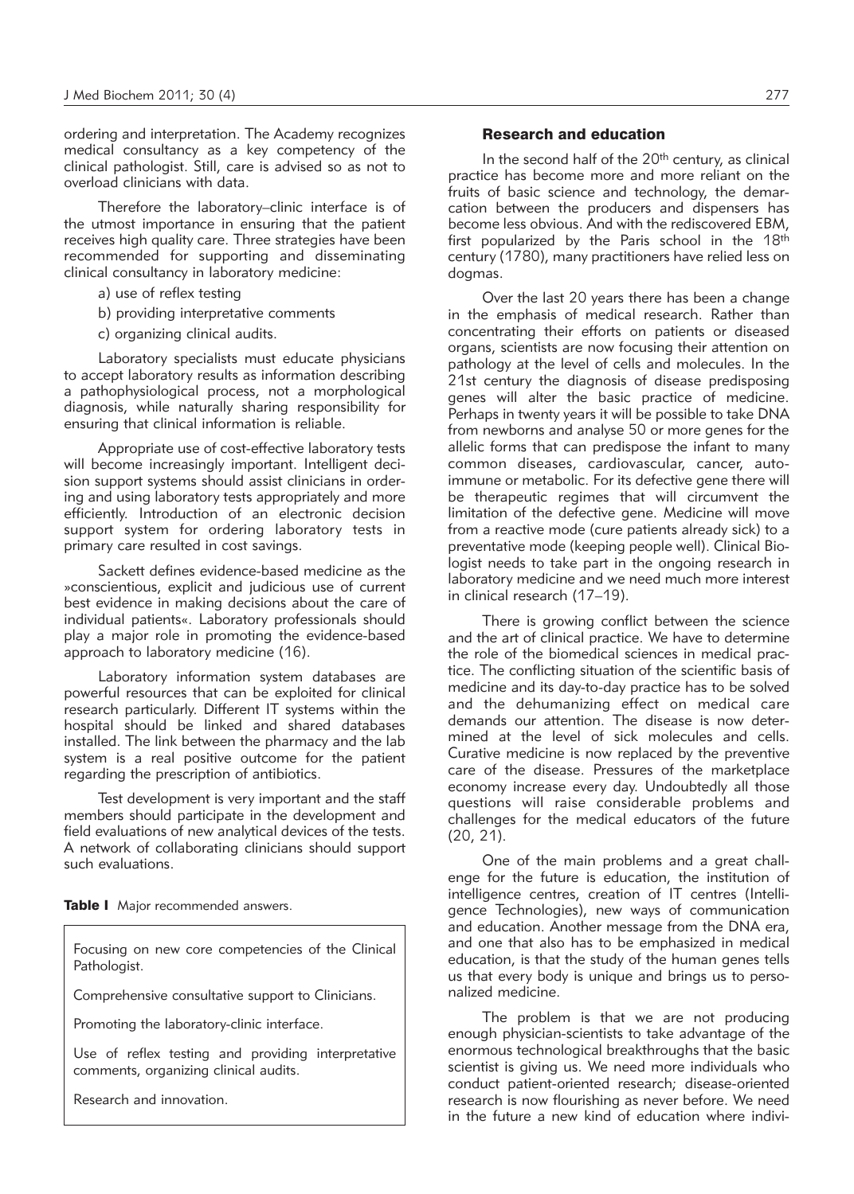ordering and interpretation. The Academy recognizes medical consultancy as a key competency of the clinical pathologist. Still, care is advised so as not to overload clinicians with data.

Therefore the laboratory–clinic interface is of the utmost importance in ensuring that the patient receives high quality care. Three strategies have been recommended for supporting and disseminating clinical consultancy in laboratory medicine:

- a) use of reflex testing
- b) providing interpretative comments
- c) organizing clinical audits.

Laboratory specialists must educate physicians to accept laboratory results as information describing a pathophysiological process, not a morphological diagnosis, while naturally sharing responsibility for ensuring that clinical information is reliable.

Appropriate use of cost-effective laboratory tests will become increasingly important. Intelligent decision support systems should assist clinicians in ordering and using laboratory tests appropriately and more efficiently. Introduction of an electronic decision support system for ordering laboratory tests in primary care resulted in cost savings.

Sackett defines evidence-based medicine as the »conscientious, explicit and judicious use of current best evidence in making decisions about the care of individual patients«. Laboratory professionals should play a major role in promoting the evidence-based approach to laboratory medicine (16).

Laboratory information system databases are powerful resources that can be exploited for clinical research particularly. Different IT systems within the hospital should be linked and shared databases installed. The link between the pharmacy and the lab system is a real positive outcome for the patient regarding the prescription of antibiotics.

Test development is very important and the staff members should participate in the development and field evaluations of new analytical devices of the tests. A network of collaborating clinicians should support such evaluations.

Table I Major recommended answers.

Focusing on new core competencies of the Clinical Pathologist.

Comprehensive consultative support to Clinicians.

Promoting the laboratory-clinic interface.

Use of reflex testing and providing interpretative comments, organizing clinical audits.

Research and innovation.

# Research and education

In the second half of the 20<sup>th</sup> century, as clinical practice has become more and more reliant on the fruits of basic science and technology, the demarcation between the producers and dispensers has become less obvious. And with the rediscovered EBM, first popularized by the Paris school in the 18th century (1780), many practitioners have relied less on dogmas.

Over the last 20 years there has been a change in the emphasis of medical research. Rather than concentrating their efforts on patients or diseased organs, scientists are now focusing their attention on pathology at the level of cells and molecules. In the 21st century the diagnosis of disease predisposing genes will alter the basic practice of medicine. Perhaps in twenty years it will be possible to take DNA from newborns and analyse 50 or more genes for the allelic forms that can predispose the infant to many common diseases, cardiovascular, cancer, autoimmune or metabolic. For its defective gene there will be therapeutic regimes that will circumvent the limitation of the defective gene. Medicine will move from a reactive mode (cure patients already sick) to a preventative mode (keeping people well). Clinical Biologist needs to take part in the ongoing research in laboratory medicine and we need much more interest in clinical research (17–19).

There is growing conflict between the science and the art of clinical practice. We have to determine the role of the biomedical sciences in medical practice. The conflicting situation of the scientific basis of medicine and its day-to-day practice has to be solved and the dehumanizing effect on medical care demands our attention. The disease is now determined at the level of sick molecules and cells. Curative medicine is now replaced by the preventive care of the disease. Pressures of the marketplace economy increase every day. Undoubtedly all those questions will raise considerable problems and challenges for the medical educators of the future (20, 21).

One of the main problems and a great challenge for the future is education, the institution of intelligence centres, creation of IT centres (Intelligence Technologies), new ways of communication and education. Another message from the DNA era, and one that also has to be emphasized in medical education, is that the study of the human genes tells us that every body is unique and brings us to personalized medicine.

The problem is that we are not producing enough physician-scientists to take advantage of the enormous technological breakthroughs that the basic scientist is giving us. We need more individuals who conduct patient-oriented research; disease-oriented research is now flourishing as never before. We need in the future a new kind of education where indivi-